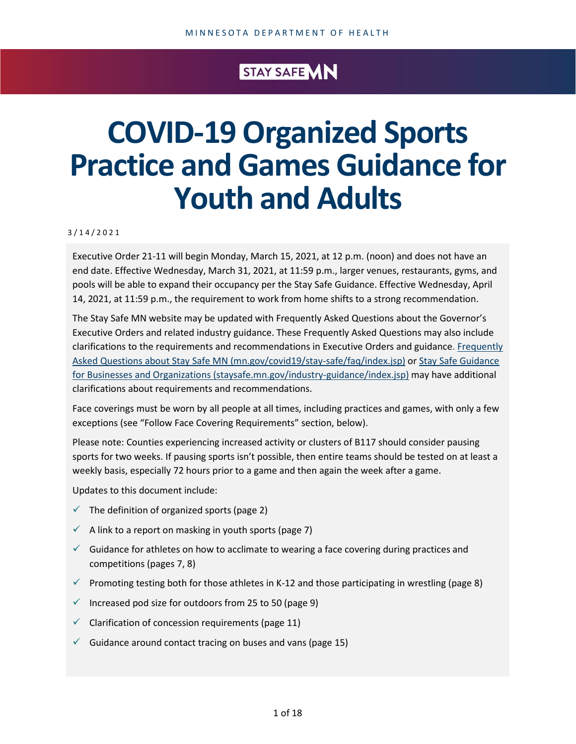## STAY SAFE MN

# **COVID-19 Organized Sports Practice and Games Guidance for Youth and Adults**

#### 3 / 1 4 /2021

Executive Order 21-11 will begin Monday, March 15, 2021, at 12 p.m. (noon) and does not have an end date. Effective Wednesday, March 31, 2021, at 11:59 p.m., larger venues, restaurants, gyms, and pools will be able to expand their occupancy per the Stay Safe Guidance. Effective Wednesday, April 14, 2021, at 11:59 p.m., the requirement to work from home shifts to a strong recommendation.

The Stay Safe MN website may be updated with Frequently Asked Questions about the Governor's Executive Orders and related industry guidance. These Frequently Asked Questions may also include clarifications to the requirements and recommendations in Executive Orders and guidance. [Frequently](https://mn.gov/covid19/stay-safe/faq/index.jsp)  [Asked Questions about Stay Safe MN \(mn.gov/covid19/stay-safe/faq/index.jsp\)](https://mn.gov/covid19/stay-safe/faq/index.jsp) o[r Stay Safe Guidance](https://staysafe.mn.gov/industry-guidance/index.jsp)  [for Businesses and Organizations \(staysafe.mn.gov/industry-guidance/index.jsp\)](https://staysafe.mn.gov/industry-guidance/index.jsp) may have additional clarifications about requirements and recommendations.

Face coverings must be worn by all people at all times, including practices and games, with only a few exceptions (see "Follow Face Covering Requirements" section, below).

Please note: Counties experiencing increased activity or clusters of B117 should consider pausing sports for two weeks. If pausing sports isn't possible, then entire teams should be tested on at least a weekly basis, especially 72 hours prior to a game and then again the week after a game.

Updates to this document include:

- $\checkmark$  The definition of organized sports (page 2)
- $\checkmark$  A link to a report on masking in youth sports (page 7)
- $\checkmark$  Guidance for athletes on how to acclimate to wearing a face covering during practices and competitions (pages 7, 8)
- Promoting testing both for those athletes in K-12 and those participating in wrestling (page 8)
- $\checkmark$  Increased pod size for outdoors from 25 to 50 (page 9)
- $\checkmark$  Clarification of concession requirements (page 11)
- $\checkmark$  Guidance around contact tracing on buses and vans (page 15)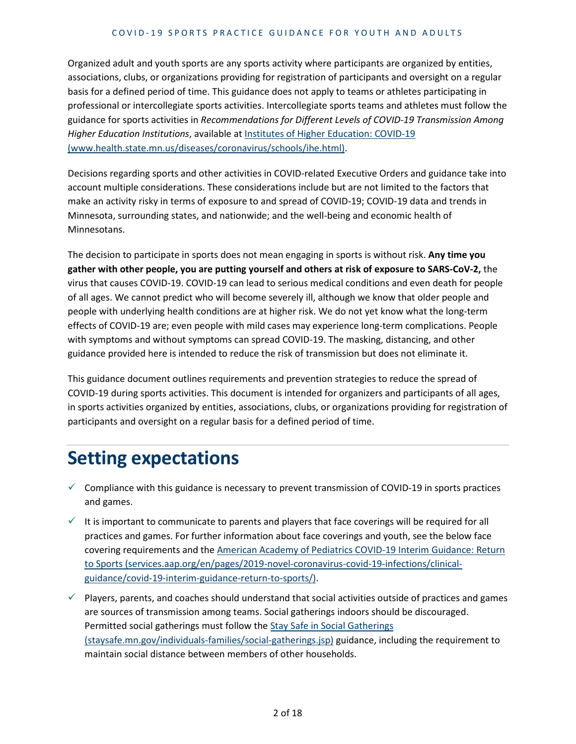#### COVID - 19 SPORTS PRACTICE GUIDANCE FOR YOUTH AND ADULTS

Organized adult and youth sports are any sports activity where participants are organized by entities, associations, clubs, or organizations providing for registration of participants and oversight on a regular basis for a defined period of time. This guidance does not apply to teams or athletes participating in professional or intercollegiate sports activities. Intercollegiate sports teams and athletes must follow the guidance for sports activities in *Recommendations for Different Levels of COVID-19 Transmission Among Higher Education Institutions*, available at [Institutes of Higher Education: COVID-19](https://www.health.state.mn.us/diseases/coronavirus/schools/ihe.html)  [\(www.health.state.mn.us/diseases/coronavirus/schools/ihe.html\).](https://www.health.state.mn.us/diseases/coronavirus/schools/ihe.html)

Decisions regarding sports and other activities in COVID-related Executive Orders and guidance take into account multiple considerations. These considerations include but are not limited to the factors that make an activity risky in terms of exposure to and spread of COVID-19; COVID-19 data and trends in Minnesota, surrounding states, and nationwide; and the well-being and economic health of Minnesotans.

The decision to participate in sports does not mean engaging in sports is without risk. **Any time you gather with other people, you are putting yourself and others at risk of exposure to SARS-CoV-2,** the virus that causes COVID-19. COVID-19 can lead to serious medical conditions and even death for people of all ages. We cannot predict who will become severely ill, although we know that older people and people with underlying health conditions are at higher risk. We do not yet know what the long-term effects of COVID-19 are; even people with mild cases may experience long-term complications. People with symptoms and without symptoms can spread COVID-19. The masking, distancing, and other guidance provided here is intended to reduce the risk of transmission but does not eliminate it.

This guidance document outlines requirements and prevention strategies to reduce the spread of COVID-19 during sports activities. This document is intended for organizers and participants of all ages, in sports activities organized by entities, associations, clubs, or organizations providing for registration of participants and oversight on a regular basis for a defined period of time.

## **Setting expectations**

- $\checkmark$  Compliance with this guidance is necessary to prevent transmission of COVID-19 in sports practices and games.
- $\checkmark$  It is important to communicate to parents and players that face coverings will be required for all practices and games. For further information about face coverings and youth, see the below face covering requirements and the [American Academy of Pediatrics COVID-19 Interim Guidance: Return](https://services.aap.org/en/pages/2019-novel-coronavirus-covid-19-infections/clinical-guidance/covid-19-interim-guidance-return-to-sports/)  [to Sports \(services.aap.org/en/pages/2019-novel-coronavirus-covid-19-infections/clinical](https://services.aap.org/en/pages/2019-novel-coronavirus-covid-19-infections/clinical-guidance/covid-19-interim-guidance-return-to-sports/)[guidance/covid-19-interim-guidance-return-to-sports/\).](https://services.aap.org/en/pages/2019-novel-coronavirus-covid-19-infections/clinical-guidance/covid-19-interim-guidance-return-to-sports/)
- $\checkmark$  Players, parents, and coaches should understand that social activities outside of practices and games are sources of transmission among teams. Social gatherings indoors should be discouraged. Permitted social gatherings must follow the [Stay Safe in Social Gatherings](https://staysafe.mn.gov/individuals-families/social-gatherings.jsp)  [\(staysafe.mn.gov/individuals-families/social-gatherings.jsp\)](https://staysafe.mn.gov/individuals-families/social-gatherings.jsp) guidance, including the requirement to maintain social distance between members of other households.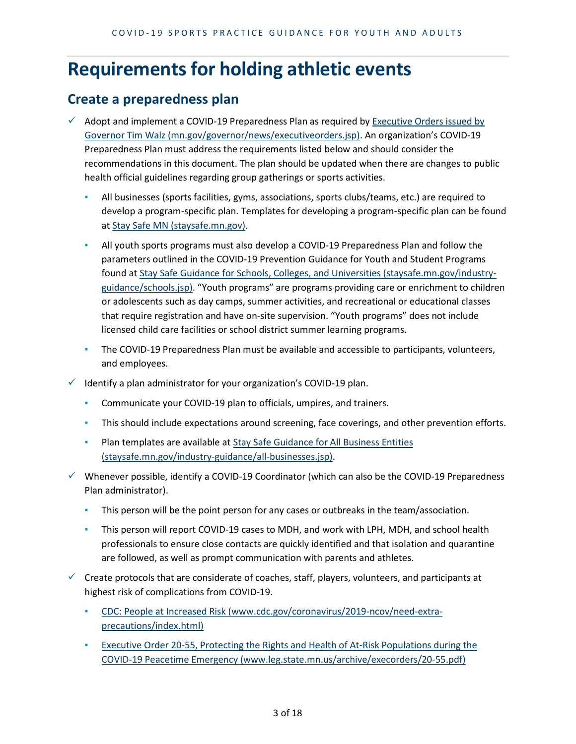## **Requirements for holding athletic events**

#### **Create a preparedness plan**

- $\checkmark$  Adopt and implement a COVID-19 Preparedness Plan as required by Executive Orders issued by [Governor Tim Walz \(mn.gov/governor/news/executiveorders.jsp\).](https://mn.gov/governor/news/executiveorders.jsp) An organization's COVID-19 Preparedness Plan must address the requirements listed below and should consider the recommendations in this document. The plan should be updated when there are changes to public health official guidelines regarding group gatherings or sports activities.
	- All businesses (sports facilities, gyms, associations, sports clubs/teams, etc.) are required to develop a program-specific plan. Templates for developing a program-specific plan can be found at [Stay Safe MN \(staysafe.mn.gov\).](https://staysafe.mn.gov/)
	- All youth sports programs must also develop a COVID-19 Preparedness Plan and follow the parameters outlined in the COVID-19 Prevention Guidance for Youth and Student Programs found at [Stay Safe Guidance for Schools, Colleges, and Universities \(staysafe.mn.gov/industry](https://staysafe.mn.gov/industry-guidance/schools.jsp)[guidance/schools.jsp\).](https://staysafe.mn.gov/industry-guidance/schools.jsp) "Youth programs" are programs providing care or enrichment to children or adolescents such as day camps, summer activities, and recreational or educational classes that require registration and have on-site supervision. "Youth programs" does not include licensed child care facilities or school district summer learning programs.
	- The COVID-19 Preparedness Plan must be available and accessible to participants, volunteers, and employees.
- Identify a plan administrator for your organization's COVID-19 plan.
	- Communicate your COVID-19 plan to officials, umpires, and trainers.
	- **·** This should include expectations around screening, face coverings, and other prevention efforts.
	- **Plan templates are available at Stay Safe Guidance for All Business Entities** [\(staysafe.mn.gov/industry-guidance/all-businesses.jsp\).](https://staysafe.mn.gov/industry-guidance/all-businesses.jsp)
- $\checkmark$  Whenever possible, identify a COVID-19 Coordinator (which can also be the COVID-19 Preparedness Plan administrator).
	- **•** This person will be the point person for any cases or outbreaks in the team/association.
	- **•** This person will report COVID-19 cases to MDH, and work with LPH, MDH, and school health professionals to ensure close contacts are quickly identified and that isolation and quarantine are followed, as well as prompt communication with parents and athletes.
- $\checkmark$  Create protocols that are considerate of coaches, staff, players, volunteers, and participants at highest risk of complications from COVID-19.
	- [CDC: People at Increased Risk \(www.cdc.gov/coronavirus/2019-ncov/need-extra](https://www.cdc.gov/coronavirus/2019-ncov/need-extra-precautions/index.html)[precautions/index.html\)](https://www.cdc.gov/coronavirus/2019-ncov/need-extra-precautions/index.html)
	- **Executive Order 20-55, Protecting the Rights and Health of At-Risk Populations during the** [COVID-19 Peacetime Emergency \(www.leg.state.mn.us/archive/execorders/20-55.pdf\)](https://www.leg.state.mn.us/archive/execorders/20-55.pdf)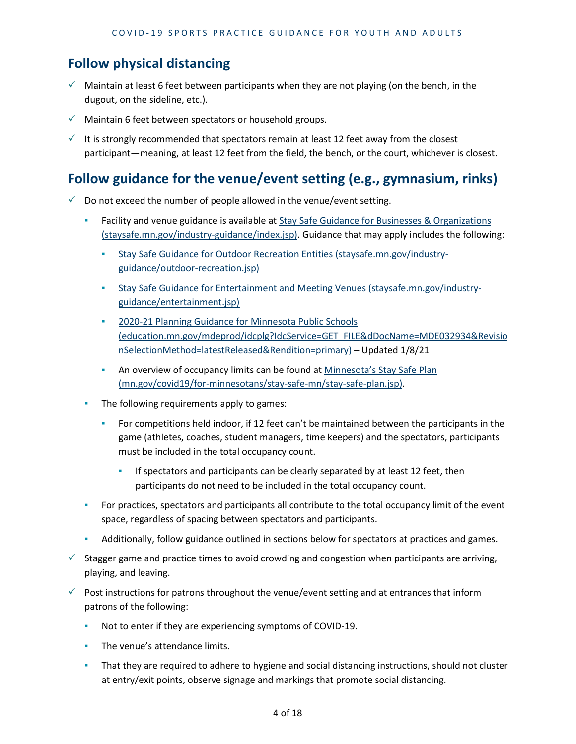## **Follow physical distancing**

- $\checkmark$  Maintain at least 6 feet between participants when they are not playing (on the bench, in the dugout, on the sideline, etc.).
- $\checkmark$  Maintain 6 feet between spectators or household groups.
- $\checkmark$  It is strongly recommended that spectators remain at least 12 feet away from the closest participant—meaning, at least 12 feet from the field, the bench, or the court, whichever is closest.

#### **Follow guidance for the venue/event setting (e.g., gymnasium, rinks)**

- $\checkmark$  Do not exceed the number of people allowed in the venue/event setting.
	- Facility and venue guidance is available at **Stay Safe Guidance for Businesses & Organizations** [\(staysafe.mn.gov/industry-guidance/index.jsp\).](https://staysafe.mn.gov/industry-guidance/index.jsp) Guidance that may apply includes the following:
		- [Stay Safe Guidance for Outdoor Recreation Entities \(staysafe.mn.gov/industry](https://staysafe.mn.gov/industry-guidance/outdoor-recreation.jsp)[guidance/outdoor-recreation.jsp\)](https://staysafe.mn.gov/industry-guidance/outdoor-recreation.jsp)
		- [Stay Safe Guidance for Entertainment and Meeting Venues \(staysafe.mn.gov/industry](https://staysafe.mn.gov/industry-guidance/entertainment.jsp)[guidance/entertainment.jsp\)](https://staysafe.mn.gov/industry-guidance/entertainment.jsp)
		- **2020-21 Planning Guidance for Minnesota Public Schools** [\(education.mn.gov/mdeprod/idcplg?IdcService=GET\\_FILE&dDocName=MDE032934&Revisio](https://education.mn.gov/mdeprod/idcplg?IdcService=GET_FILE&dDocName=MDE032934&RevisionSelectionMethod=latestReleased&Rendition=primary) [nSelectionMethod=latestReleased&Rendition=primary\)](https://education.mn.gov/mdeprod/idcplg?IdcService=GET_FILE&dDocName=MDE032934&RevisionSelectionMethod=latestReleased&Rendition=primary) – Updated 1/8/21
		- **EXED An overview of occupancy limits can be found at Minnesota's Stay Safe Plan** [\(mn.gov/covid19/for-minnesotans/stay-safe-mn/stay-safe-plan.jsp\).](https://mn.gov/covid19/for-minnesotans/stay-safe-mn/stay-safe-plan.jsp)
	- The following requirements apply to games:
		- **•** For competitions held indoor, if 12 feet can't be maintained between the participants in the game (athletes, coaches, student managers, time keepers) and the spectators, participants must be included in the total occupancy count.
			- **.** If spectators and participants can be clearly separated by at least 12 feet, then participants do not need to be included in the total occupancy count.
	- **•** For practices, spectators and participants all contribute to the total occupancy limit of the event space, regardless of spacing between spectators and participants.
	- Additionally, follow guidance outlined in sections below for spectators at practices and games.
- $\checkmark$  Stagger game and practice times to avoid crowding and congestion when participants are arriving, playing, and leaving.
- $\checkmark$  Post instructions for patrons throughout the venue/event setting and at entrances that inform patrons of the following:
	- Not to enter if they are experiencing symptoms of COVID-19.
	- **•** The venue's attendance limits.
	- **·** That they are required to adhere to hygiene and social distancing instructions, should not cluster at entry/exit points, observe signage and markings that promote social distancing.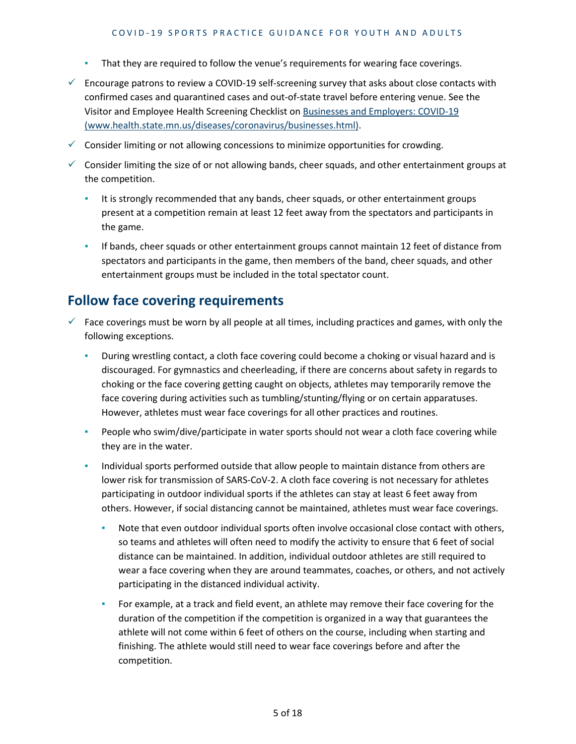- That they are required to follow the venue's requirements for wearing face coverings.
- $\checkmark$  Encourage patrons to review a COVID-19 self-screening survey that asks about close contacts with confirmed cases and quarantined cases and out-of-state travel before entering venue. See the Visitor and Employee Health Screening Checklist on [Businesses and Employers: COVID-19](https://www.health.state.mn.us/diseases/coronavirus/businesses.html) [\(www.health.state.mn.us/diseases/coronavirus/businesses.html\).](https://www.health.state.mn.us/diseases/coronavirus/businesses.html)
- $\checkmark$  Consider limiting or not allowing concessions to minimize opportunities for crowding.
- $\checkmark$  Consider limiting the size of or not allowing bands, cheer squads, and other entertainment groups at the competition.
	- It is strongly recommended that any bands, cheer squads, or other entertainment groups present at a competition remain at least 12 feet away from the spectators and participants in the game.
	- **·** If bands, cheer squads or other entertainment groups cannot maintain 12 feet of distance from spectators and participants in the game, then members of the band, cheer squads, and other entertainment groups must be included in the total spectator count.

## **Follow face covering requirements**

- $\checkmark$  Face coverings must be worn by all people at all times, including practices and games, with only the following exceptions.
	- During wrestling contact, a cloth face covering could become a choking or visual hazard and is discouraged. For gymnastics and cheerleading, if there are concerns about safety in regards to choking or the face covering getting caught on objects, athletes may temporarily remove the face covering during activities such as tumbling/stunting/flying or on certain apparatuses. However, athletes must wear face coverings for all other practices and routines.
	- **•** People who swim/dive/participate in water sports should not wear a cloth face covering while they are in the water.
	- Individual sports performed outside that allow people to maintain distance from others are lower risk for transmission of SARS-CoV-2. A cloth face covering is not necessary for athletes participating in outdoor individual sports if the athletes can stay at least 6 feet away from others. However, if social distancing cannot be maintained, athletes must wear face coverings.
		- Note that even outdoor individual sports often involve occasional close contact with others, so teams and athletes will often need to modify the activity to ensure that 6 feet of social distance can be maintained. In addition, individual outdoor athletes are still required to wear a face covering when they are around teammates, coaches, or others, and not actively participating in the distanced individual activity.
		- **•** For example, at a track and field event, an athlete may remove their face covering for the duration of the competition if the competition is organized in a way that guarantees the athlete will not come within 6 feet of others on the course, including when starting and finishing. The athlete would still need to wear face coverings before and after the competition.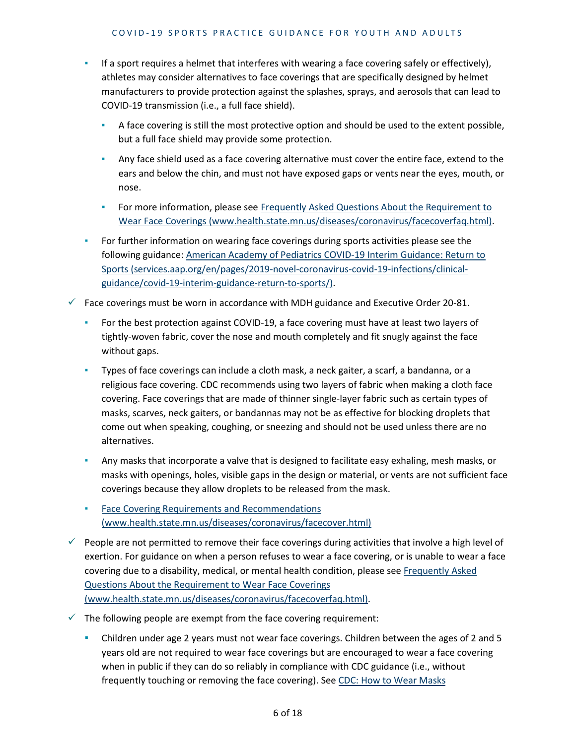- If a sport requires a helmet that interferes with wearing a face covering safely or effectively), athletes may consider alternatives to face coverings that are specifically designed by helmet manufacturers to provide protection against the splashes, sprays, and aerosols that can lead to COVID-19 transmission (i.e., a full face shield).
	- **EXECT** A face covering is still the most protective option and should be used to the extent possible, but a full face shield may provide some protection.
	- **Any face shield used as a face covering alternative must cover the entire face, extend to the** ears and below the chin, and must not have exposed gaps or vents near the eyes, mouth, or nose.
	- **For more information, please see Frequently Asked Questions About the Requirement to** [Wear Face Coverings \(www.health.state.mn.us/diseases/coronavirus/facecoverfaq.html\).](https://www.health.state.mn.us/diseases/coronavirus/facecoverfaq.html)
- **•** For further information on wearing face coverings during sports activities please see the following guidance[: American Academy of Pediatrics COVID-19 Interim Guidance: Return to](https://services.aap.org/en/pages/2019-novel-coronavirus-covid-19-infections/clinical-guidance/covid-19-interim-guidance-return-to-sports/)  [Sports \(services.aap.org/en/pages/2019-novel-coronavirus-covid-19-infections/clinical](https://services.aap.org/en/pages/2019-novel-coronavirus-covid-19-infections/clinical-guidance/covid-19-interim-guidance-return-to-sports/)[guidance/covid-19-interim-guidance-return-to-sports/\).](https://services.aap.org/en/pages/2019-novel-coronavirus-covid-19-infections/clinical-guidance/covid-19-interim-guidance-return-to-sports/)
- $\checkmark$  Face coverings must be worn in accordance with MDH guidance and Executive Order 20-81.
	- For the best protection against COVID-19, a face covering must have at least two layers of tightly-woven fabric, cover the nose and mouth completely and fit snugly against the face without gaps.
	- Types of face coverings can include a cloth mask, a neck gaiter, a scarf, a bandanna, or a religious face covering. CDC recommends using two layers of fabric when making a cloth face covering. Face coverings that are made of thinner single-layer fabric such as certain types of masks, scarves, neck gaiters, or bandannas may not be as effective for blocking droplets that come out when speaking, coughing, or sneezing and should not be used unless there are no alternatives.
	- **EXECT** Any masks that incorporate a valve that is designed to facilitate easy exhaling, mesh masks, or masks with openings, holes, visible gaps in the design or material, or vents are not sufficient face coverings because they allow droplets to be released from the mask.
	- **Face Covering Requirements and Recommendations** [\(www.health.state.mn.us/diseases/coronavirus/facecover.html\)](https://www.health.state.mn.us/diseases/coronavirus/facecover.html)
- $\checkmark$  People are not permitted to remove their face coverings during activities that involve a high level of exertion. For guidance on when a person refuses to wear a face covering, or is unable to wear a face covering due to a disability, medical, or mental health condition, please see [Frequently Asked](https://www.health.state.mn.us/diseases/coronavirus/facecoverfaq.html)  [Questions About the Requirement to Wear Face Coverings](https://www.health.state.mn.us/diseases/coronavirus/facecoverfaq.html)  [\(www.health.state.mn.us/diseases/coronavirus/facecoverfaq.html\).](https://www.health.state.mn.us/diseases/coronavirus/facecoverfaq.html)
- $\checkmark$  The following people are exempt from the face covering requirement:
	- **•** Children under age 2 years must not wear face coverings. Children between the ages of 2 and 5 years old are not required to wear face coverings but are encouraged to wear a face covering when in public if they can do so reliably in compliance with CDC guidance (i.e., without frequently touching or removing the face covering). See CDC: How to Wear Masks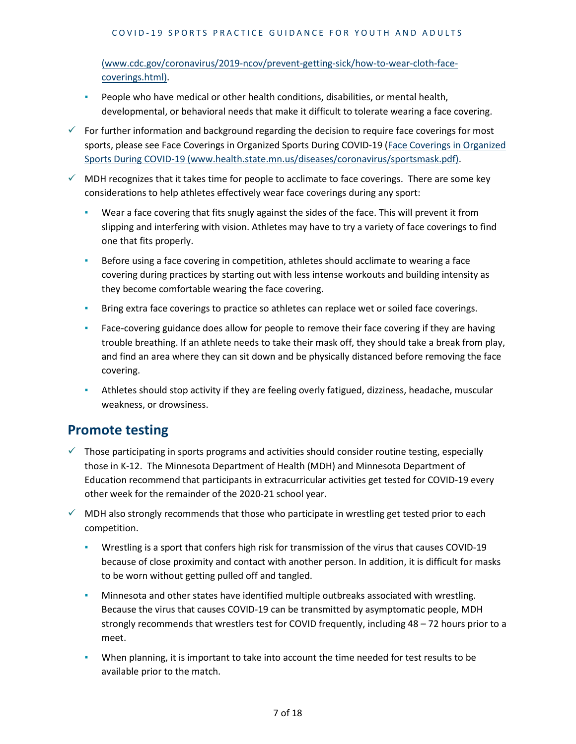#### COVID - 19 SPORTS PRACTICE GUIDANCE FOR YOUTH AND ADULTS

[\(www.cdc.gov/coronavirus/2019-ncov/prevent-getting-sick/how-to-wear-cloth-face](https://www.cdc.gov/coronavirus/2019-ncov/prevent-getting-sick/how-to-wear-cloth-face-coverings.html)[coverings.html\).](https://www.cdc.gov/coronavirus/2019-ncov/prevent-getting-sick/how-to-wear-cloth-face-coverings.html)

- **•** People who have medical or other health conditions, disabilities, or mental health, developmental, or behavioral needs that make it difficult to tolerate wearing a face covering.
- $\checkmark$  For further information and background regarding the decision to require face coverings for most sports, please see Face Coverings in Organized Sports During COVID-19 [\(Face Coverings in Organized](https://www.health.state.mn.us/diseases/coronavirus/sportsmask.pdf)  [Sports During COVID-19 \(www.health.state.mn.us/diseases/coronavirus/sportsmask.pdf\).](https://www.health.state.mn.us/diseases/coronavirus/sportsmask.pdf)
- $\checkmark$  MDH recognizes that it takes time for people to acclimate to face coverings. There are some key considerations to help athletes effectively wear face coverings during any sport:
	- Wear a face covering that fits snugly against the sides of the face. This will prevent it from slipping and interfering with vision. Athletes may have to try a variety of face coverings to find one that fits properly.
	- **EXED** Before using a face covering in competition, athletes should acclimate to wearing a face covering during practices by starting out with less intense workouts and building intensity as they become comfortable wearing the face covering.
	- **EXECT AT A FIRTH IS EXTER 15 A FIRTH COVERTS FIRTH** Bring extra face coverings.
	- **EXEL F** Face-covering guidance does allow for people to remove their face covering if they are having trouble breathing. If an athlete needs to take their mask off, they should take a break from play, and find an area where they can sit down and be physically distanced before removing the face covering.
	- **•** Athletes should stop activity if they are feeling overly fatigued, dizziness, headache, muscular weakness, or drowsiness.

#### **Promote testing**

- $\checkmark$  Those participating in sports programs and activities should consider routine testing, especially those in K-12. The Minnesota Department of Health (MDH) and Minnesota Department of Education recommend that participants in extracurricular activities get tested for COVID-19 every other week for the remainder of the 2020-21 school year.
- $\checkmark$  MDH also strongly recommends that those who participate in wrestling get tested prior to each competition.
	- Wrestling is a sport that confers high risk for transmission of the virus that causes COVID-19 because of close proximity and contact with another person. In addition, it is difficult for masks to be worn without getting pulled off and tangled.
	- Minnesota and other states have identified multiple outbreaks associated with wrestling. Because the virus that causes COVID-19 can be transmitted by asymptomatic people, MDH strongly recommends that wrestlers test for COVID frequently, including 48 – 72 hours prior to a meet.
	- When planning, it is important to take into account the time needed for test results to be available prior to the match.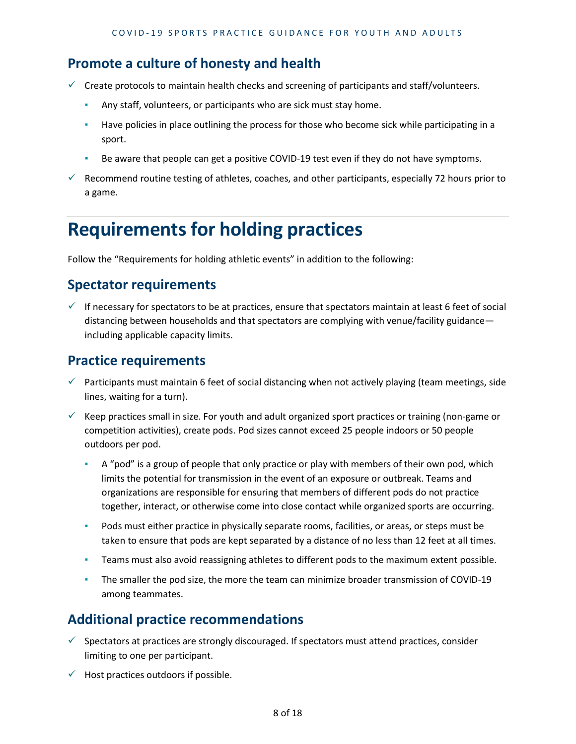#### **Promote a culture of honesty and health**

- $\checkmark$  Create protocols to maintain health checks and screening of participants and staff/volunteers.
	- **EXECT** Any staff, volunteers, or participants who are sick must stay home.
	- **EXECT** Have policies in place outlining the process for those who become sick while participating in a sport.
	- Be aware that people can get a positive COVID-19 test even if they do not have symptoms.
- $\checkmark$  Recommend routine testing of athletes, coaches, and other participants, especially 72 hours prior to a game.

# **Requirements for holding practices**

Follow the "Requirements for holding athletic events" in addition to the following:

#### **Spectator requirements**

If necessary for spectators to be at practices, ensure that spectators maintain at least 6 feet of social distancing between households and that spectators are complying with venue/facility guidance including applicable capacity limits.

## **Practice requirements**

- $\checkmark$  Participants must maintain 6 feet of social distancing when not actively playing (team meetings, side lines, waiting for a turn).
- $\checkmark$  Keep practices small in size. For youth and adult organized sport practices or training (non-game or competition activities), create pods. Pod sizes cannot exceed 25 people indoors or 50 people outdoors per pod.
	- A "pod" is a group of people that only practice or play with members of their own pod, which limits the potential for transmission in the event of an exposure or outbreak. Teams and organizations are responsible for ensuring that members of different pods do not practice together, interact, or otherwise come into close contact while organized sports are occurring.
	- Pods must either practice in physically separate rooms, facilities, or areas, or steps must be taken to ensure that pods are kept separated by a distance of no less than 12 feet at all times.
	- **EXECT** Teams must also avoid reassigning athletes to different pods to the maximum extent possible.
	- The smaller the pod size, the more the team can minimize broader transmission of COVID-19 among teammates.

## **Additional practice recommendations**

- $\checkmark$  Spectators at practices are strongly discouraged. If spectators must attend practices, consider limiting to one per participant.
- $\checkmark$  Host practices outdoors if possible.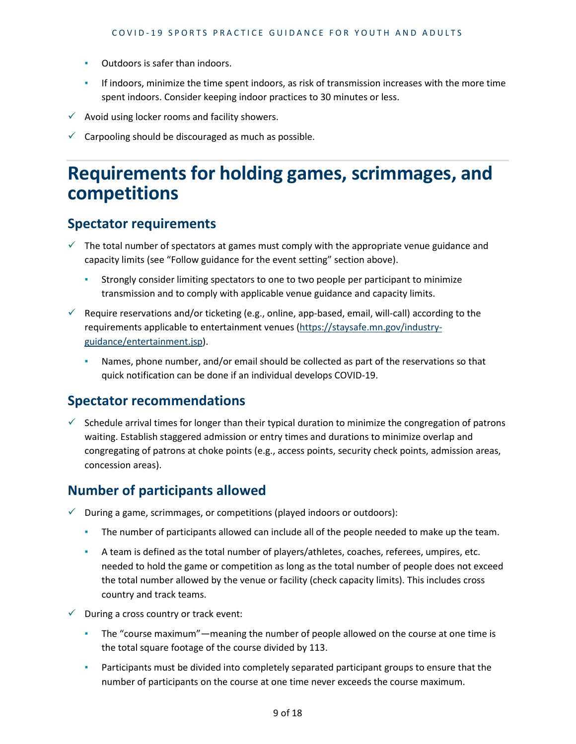- Outdoors is safer than indoors.
- **•** If indoors, minimize the time spent indoors, as risk of transmission increases with the more time spent indoors. Consider keeping indoor practices to 30 minutes or less.
- $\checkmark$  Avoid using locker rooms and facility showers.
- $\checkmark$  Carpooling should be discouraged as much as possible.

## **Requirements for holding games, scrimmages, and competitions**

#### **Spectator requirements**

- $\checkmark$  The total number of spectators at games must comply with the appropriate venue guidance and capacity limits (see "Follow guidance for the event setting" section above).
	- Strongly consider limiting spectators to one to two people per participant to minimize transmission and to comply with applicable venue guidance and capacity limits.
- $\checkmark$  Require reservations and/or ticketing (e.g., online, app-based, email, will-call) according to the requirements applicable to entertainment venues [\(https://staysafe.mn.gov/industry](https://staysafe.mn.gov/industry-guidance/entertainment.jsp)[guidance/entertainment.jsp\)](https://staysafe.mn.gov/industry-guidance/entertainment.jsp).
	- Names, phone number, and/or email should be collected as part of the reservations so that quick notification can be done if an individual develops COVID-19.

#### **Spectator recommendations**

 $\checkmark$  Schedule arrival times for longer than their typical duration to minimize the congregation of patrons waiting. Establish staggered admission or entry times and durations to minimize overlap and congregating of patrons at choke points (e.g., access points, security check points, admission areas, concession areas).

## **Number of participants allowed**

- $\checkmark$  During a game, scrimmages, or competitions (played indoors or outdoors):
	- **•** The number of participants allowed can include all of the people needed to make up the team.
	- A team is defined as the total number of players/athletes, coaches, referees, umpires, etc. needed to hold the game or competition as long as the total number of people does not exceed the total number allowed by the venue or facility (check capacity limits). This includes cross country and track teams.
- $\checkmark$  During a cross country or track event:
	- The "course maximum"—meaning the number of people allowed on the course at one time is the total square footage of the course divided by 113.
	- **•** Participants must be divided into completely separated participant groups to ensure that the number of participants on the course at one time never exceeds the course maximum.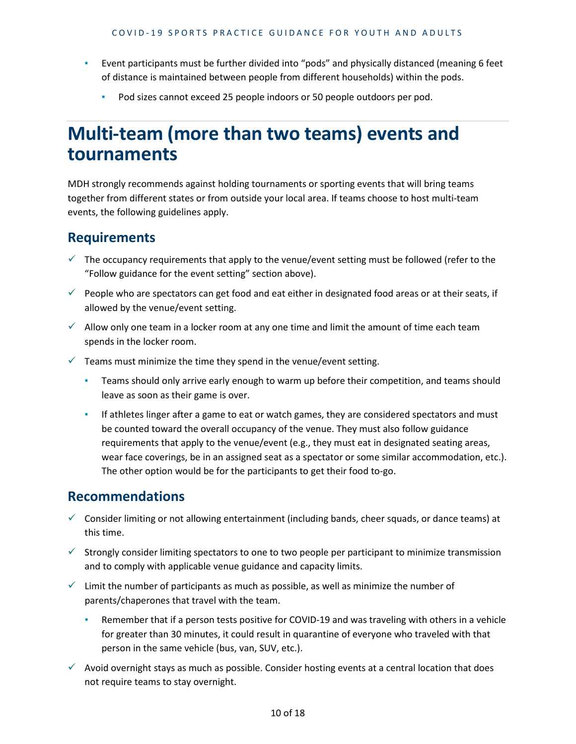- Event participants must be further divided into "pods" and physically distanced (meaning 6 feet of distance is maintained between people from different households) within the pods.
	- Pod sizes cannot exceed 25 people indoors or 50 people outdoors per pod.

## **Multi-team (more than two teams) events and tournaments**

MDH strongly recommends against holding tournaments or sporting events that will bring teams together from different states or from outside your local area. If teams choose to host multi-team events, the following guidelines apply.

#### **Requirements**

- $\checkmark$  The occupancy requirements that apply to the venue/event setting must be followed (refer to the "Follow guidance for the event setting" section above).
- $\checkmark$  People who are spectators can get food and eat either in designated food areas or at their seats, if allowed by the venue/event setting.
- $\checkmark$  Allow only one team in a locker room at any one time and limit the amount of time each team spends in the locker room.
- $\checkmark$  Teams must minimize the time they spend in the venue/event setting.
	- **EXECT** Teams should only arrive early enough to warm up before their competition, and teams should leave as soon as their game is over.
	- **If athletes linger after a game to eat or watch games, they are considered spectators and must** be counted toward the overall occupancy of the venue. They must also follow guidance requirements that apply to the venue/event (e.g., they must eat in designated seating areas, wear face coverings, be in an assigned seat as a spectator or some similar accommodation, etc.). The other option would be for the participants to get their food to-go.

#### **Recommendations**

- $\checkmark$  Consider limiting or not allowing entertainment (including bands, cheer squads, or dance teams) at this time.
- $\checkmark$  Strongly consider limiting spectators to one to two people per participant to minimize transmission and to comply with applicable venue guidance and capacity limits.
- $\checkmark$  Limit the number of participants as much as possible, as well as minimize the number of parents/chaperones that travel with the team.
	- **EXED** Remember that if a person tests positive for COVID-19 and was traveling with others in a vehicle for greater than 30 minutes, it could result in quarantine of everyone who traveled with that person in the same vehicle (bus, van, SUV, etc.).
- $\checkmark$  Avoid overnight stays as much as possible. Consider hosting events at a central location that does not require teams to stay overnight.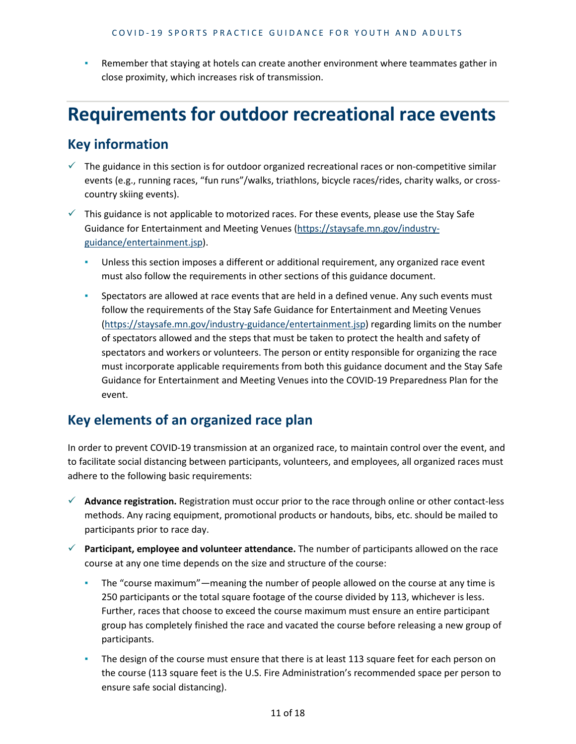Remember that staying at hotels can create another environment where teammates gather in close proximity, which increases risk of transmission.

## **Requirements for outdoor recreational race events**

#### **Key information**

- $\checkmark$  The guidance in this section is for outdoor organized recreational races or non-competitive similar events (e.g., running races, "fun runs"/walks, triathlons, bicycle races/rides, charity walks, or crosscountry skiing events).
- $\checkmark$  This guidance is not applicable to motorized races. For these events, please use the Stay Safe Guidance for Entertainment and Meeting Venues [\(https://staysafe.mn.gov/industry](https://staysafe.mn.gov/industry-guidance/entertainment.jsp)[guidance/entertainment.jsp\)](https://staysafe.mn.gov/industry-guidance/entertainment.jsp).
	- **•** Unless this section imposes a different or additional requirement, any organized race event must also follow the requirements in other sections of this guidance document.
	- Spectators are allowed at race events that are held in a defined venue. Any such events must follow the requirements of the Stay Safe Guidance for Entertainment and Meeting Venues [\(https://staysafe.mn.gov/industry-guidance/entertainment.jsp\)](https://staysafe.mn.gov/industry-guidance/entertainment.jsp) regarding limits on the number of spectators allowed and the steps that must be taken to protect the health and safety of spectators and workers or volunteers. The person or entity responsible for organizing the race must incorporate applicable requirements from both this guidance document and the Stay Safe Guidance for Entertainment and Meeting Venues into the COVID-19 Preparedness Plan for the event.

#### **Key elements of an organized race plan**

In order to prevent COVID-19 transmission at an organized race, to maintain control over the event, and to facilitate social distancing between participants, volunteers, and employees, all organized races must adhere to the following basic requirements:

- **Advance registration.** Registration must occur prior to the race through online or other contact-less methods. Any racing equipment, promotional products or handouts, bibs, etc. should be mailed to participants prior to race day.
- **Participant, employee and volunteer attendance.** The number of participants allowed on the race course at any one time depends on the size and structure of the course:
	- The "course maximum"—meaning the number of people allowed on the course at any time is 250 participants or the total square footage of the course divided by 113, whichever is less. Further, races that choose to exceed the course maximum must ensure an entire participant group has completely finished the race and vacated the course before releasing a new group of participants.
	- The design of the course must ensure that there is at least 113 square feet for each person on the course (113 square feet is the U.S. Fire Administration's recommended space per person to ensure safe social distancing).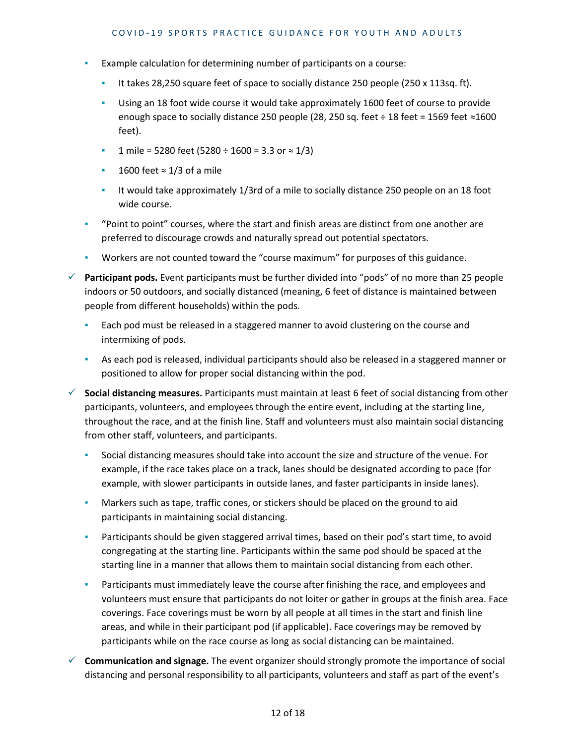- Example calculation for determining number of participants on a course:
	- It takes 28,250 square feet of space to socially distance 250 people (250 x 113sq. ft).
	- **EXED 18 18 18 foot wide course it would take approximately 1600 feet of course to provide** enough space to socially distance 250 people (28, 250 sq. feet ÷ 18 feet = 1569 feet ≈1600 feet).
	- 1 mile = 5280 feet (5280 ÷ 1600 = 3.3 or  $\approx$  1/3)
	- 1600 feet  $\approx$  1/3 of a mile
	- It would take approximately 1/3rd of a mile to socially distance 250 people on an 18 foot wide course.
- "Point to point" courses, where the start and finish areas are distinct from one another are preferred to discourage crowds and naturally spread out potential spectators.
- Workers are not counted toward the "course maximum" for purposes of this guidance.
- **Participant pods.** Event participants must be further divided into "pods" of no more than 25 people indoors or 50 outdoors, and socially distanced (meaning, 6 feet of distance is maintained between people from different households) within the pods.
	- **Each pod must be released in a staggered manner to avoid clustering on the course and** intermixing of pods.
	- **EXECT** As each pod is released, individual participants should also be released in a staggered manner or positioned to allow for proper social distancing within the pod.
- **Social distancing measures.** Participants must maintain at least 6 feet of social distancing from other participants, volunteers, and employees through the entire event, including at the starting line, throughout the race, and at the finish line. Staff and volunteers must also maintain social distancing from other staff, volunteers, and participants.
	- Social distancing measures should take into account the size and structure of the venue. For example, if the race takes place on a track, lanes should be designated according to pace (for example, with slower participants in outside lanes, and faster participants in inside lanes).
	- **•** Markers such as tape, traffic cones, or stickers should be placed on the ground to aid participants in maintaining social distancing.
	- **•** Participants should be given staggered arrival times, based on their pod's start time, to avoid congregating at the starting line. Participants within the same pod should be spaced at the starting line in a manner that allows them to maintain social distancing from each other.
	- Participants must immediately leave the course after finishing the race, and employees and volunteers must ensure that participants do not loiter or gather in groups at the finish area. Face coverings. Face coverings must be worn by all people at all times in the start and finish line areas, and while in their participant pod (if applicable). Face coverings may be removed by participants while on the race course as long as social distancing can be maintained.
- **Communication and signage.** The event organizer should strongly promote the importance of social distancing and personal responsibility to all participants, volunteers and staff as part of the event's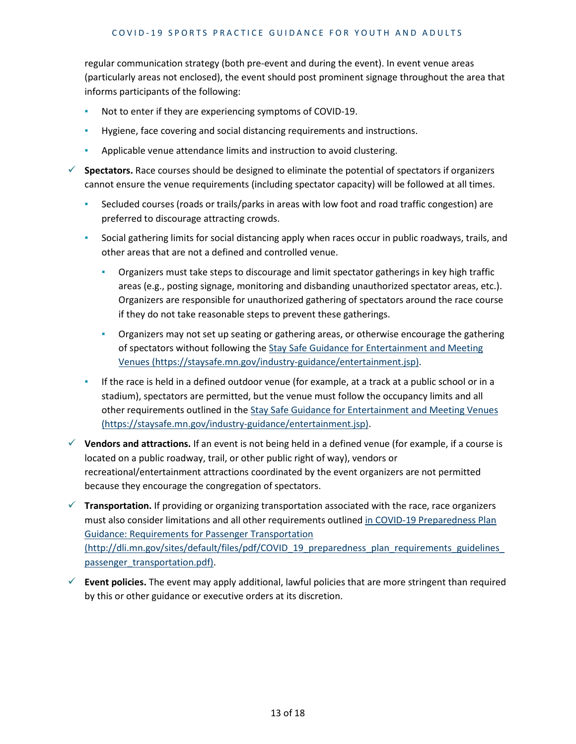regular communication strategy (both pre-event and during the event). In event venue areas (particularly areas not enclosed), the event should post prominent signage throughout the area that informs participants of the following:

- Not to enter if they are experiencing symptoms of COVID-19.
- Hygiene, face covering and social distancing requirements and instructions.
- Applicable venue attendance limits and instruction to avoid clustering.
- **Spectators.** Race courses should be designed to eliminate the potential of spectators if organizers cannot ensure the venue requirements (including spectator capacity) will be followed at all times.
	- Secluded courses (roads or trails/parks in areas with low foot and road traffic congestion) are preferred to discourage attracting crowds.
	- Social gathering limits for social distancing apply when races occur in public roadways, trails, and other areas that are not a defined and controlled venue.
		- Organizers must take steps to discourage and limit spectator gatherings in key high traffic areas (e.g., posting signage, monitoring and disbanding unauthorized spectator areas, etc.). Organizers are responsible for unauthorized gathering of spectators around the race course if they do not take reasonable steps to prevent these gatherings.
		- **•** Organizers may not set up seating or gathering areas, or otherwise encourage the gathering of spectators without following the [Stay Safe Guidance for Entertainment and Meeting](https://staysafe.mn.gov/industry-guidance/entertainment.jsp)  [Venues \(https://staysafe.mn.gov/industry-guidance/entertainment.jsp\).](https://staysafe.mn.gov/industry-guidance/entertainment.jsp)
	- **EXED** If the race is held in a defined outdoor venue (for example, at a track at a public school or in a stadium), spectators are permitted, but the venue must follow the occupancy limits and all other requirements outlined in the [Stay Safe Guidance for Entertainment and Meeting Venues](https://staysafe.mn.gov/industry-guidance/entertainment.jsp)  [\(https://staysafe.mn.gov/industry-guidance/entertainment.jsp\).](https://staysafe.mn.gov/industry-guidance/entertainment.jsp)
- **Vendors and attractions.** If an event is not being held in a defined venue (for example, if a course is located on a public roadway, trail, or other public right of way), vendors or recreational/entertainment attractions coordinated by the event organizers are not permitted because they encourage the congregation of spectators.
- **Transportation.** If providing or organizing transportation associated with the race, race organizers must also consider limitations and all other requirements outlined [in COVID-19 Preparedness Plan](http://dli.mn.gov/sites/default/files/pdf/COVID_19_preparedness_plan_requirements_guidelines_passenger_transportation.pdf)  [Guidance: Requirements for Passenger Transportation](http://dli.mn.gov/sites/default/files/pdf/COVID_19_preparedness_plan_requirements_guidelines_passenger_transportation.pdf)  [\(http://dli.mn.gov/sites/default/files/pdf/COVID\\_19\\_preparedness\\_plan\\_requirements\\_guidelines\\_](http://dli.mn.gov/sites/default/files/pdf/COVID_19_preparedness_plan_requirements_guidelines_passenger_transportation.pdf) [passenger\\_transportation.pdf\).](http://dli.mn.gov/sites/default/files/pdf/COVID_19_preparedness_plan_requirements_guidelines_passenger_transportation.pdf)
- $\checkmark$  Event policies. The event may apply additional, lawful policies that are more stringent than required by this or other guidance or executive orders at its discretion.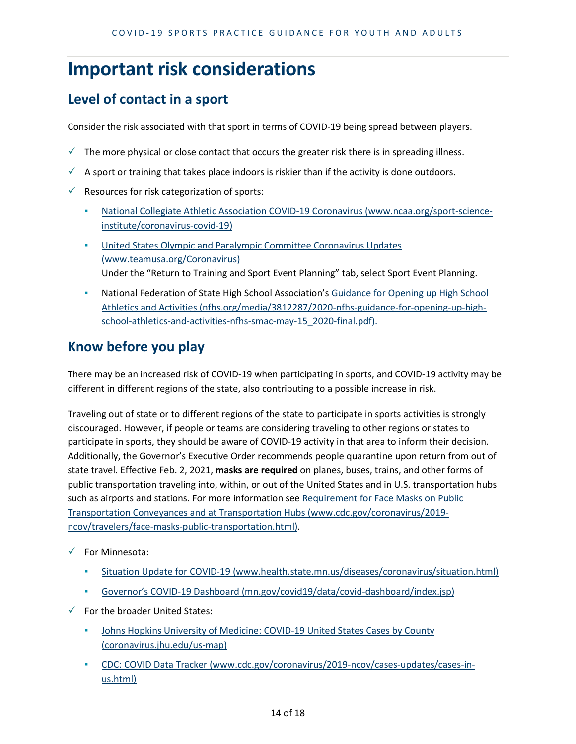## **Important risk considerations**

## **Level of contact in a sport**

Consider the risk associated with that sport in terms of COVID-19 being spread between players.

- $\checkmark$  The more physical or close contact that occurs the greater risk there is in spreading illness.
- A sport or training that takes place indoors is riskier than if the activity is done outdoors.
- $\checkmark$  Resources for risk categorization of sports:
	- [National Collegiate Athletic Association COVID-19 Coronavirus \(www.ncaa.org/sport-science](https://www.ncaa.org/sport-science-institute/coronavirus-covid-19)[institute/coronavirus-covid-19\)](https://www.ncaa.org/sport-science-institute/coronavirus-covid-19)
	- [United States Olympic and Paralympic Committee Coronavirus Updates](https://www.teamusa.org/Coronavirus)  [\(www.teamusa.org/Coronavirus\)](https://www.teamusa.org/Coronavirus) Under the "Return to Training and Sport Event Planning" tab, select Sport Event Planning.
	- **National Federation of State High School Association's Guidance for Opening up High School** [Athletics and Activities \(nfhs.org/media/3812287/2020-nfhs-guidance-for-opening-up-high](https://nfhs.org/media/3812287/2020-nfhs-guidance-for-opening-up-high-school-athletics-and-activities-nfhs-smac-may-15_2020-final.pdf)[school-athletics-and-activities-nfhs-smac-may-15\\_2020-final.pdf\).](https://nfhs.org/media/3812287/2020-nfhs-guidance-for-opening-up-high-school-athletics-and-activities-nfhs-smac-may-15_2020-final.pdf)

## **Know before you play**

There may be an increased risk of COVID-19 when participating in sports, and COVID-19 activity may be different in different regions of the state, also contributing to a possible increase in risk.

Traveling out of state or to different regions of the state to participate in sports activities is strongly discouraged. However, if people or teams are considering traveling to other regions or states to participate in sports, they should be aware of COVID-19 activity in that area to inform their decision. Additionally, the Governor's Executive Order recommends people quarantine upon return from out of state travel. Effective Feb. 2, 2021, **masks are required** on planes, buses, trains, and other forms of public transportation traveling into, within, or out of the United States and in U.S. transportation hubs such as airports and stations. For more information see [Requirement for Face Masks on Public](https://www.cdc.gov/coronavirus/2019-ncov/travelers/face-masks-public-transportation.html)  [Transportation Conveyances and at Transportation Hubs \(www.cdc.gov/coronavirus/2019](https://www.cdc.gov/coronavirus/2019-ncov/travelers/face-masks-public-transportation.html) [ncov/travelers/face-masks-public-transportation.html\).](https://www.cdc.gov/coronavirus/2019-ncov/travelers/face-masks-public-transportation.html)

- $\checkmark$  For Minnesota:
	- [Situation Update for COVID-19 \(www.health.state.mn.us/diseases/coronavirus/situation.html\)](https://www.health.state.mn.us/diseases/coronavirus/situation.html)
	- [Governor's COVID-19 Dashboard \(mn.gov/covid19/data/covid-dashboard/index.jsp\)](https://mn.gov/covid19/data/covid-dashboard/index.jsp)
- $\checkmark$  For the broader United States:
	- **.** Johns Hopkins University of Medicine: COVID-19 United States Cases by County [\(coronavirus.jhu.edu/us-map\)](https://coronavirus.jhu.edu/us-map)
	- [CDC: COVID Data Tracker \(www.cdc.gov/coronavirus/2019-ncov/cases-updates/cases-in](https://www.cdc.gov/coronavirus/2019-ncov/cases-updates/cases-in-us.html)[us.html\)](https://www.cdc.gov/coronavirus/2019-ncov/cases-updates/cases-in-us.html)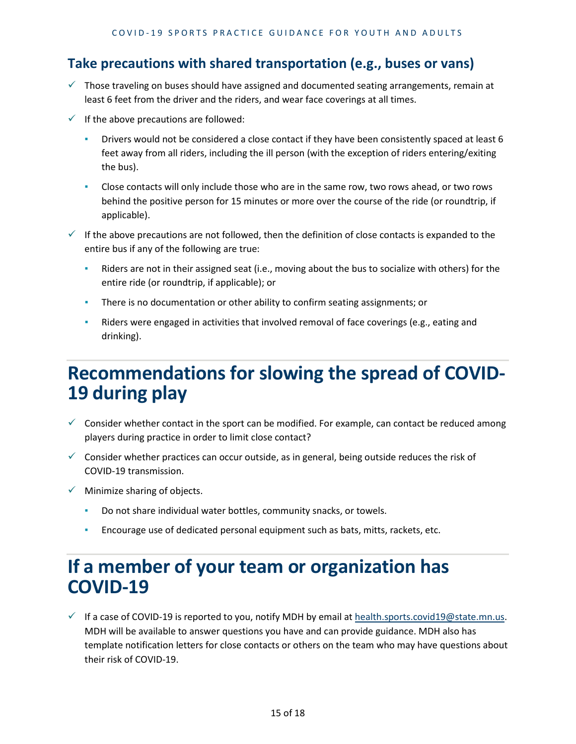#### **Take precautions with shared transportation (e.g., buses or vans)**

- $\checkmark$  Those traveling on buses should have assigned and documented seating arrangements, remain at least 6 feet from the driver and the riders, and wear face coverings at all times.
- $\checkmark$  If the above precautions are followed:
	- Drivers would not be considered a close contact if they have been consistently spaced at least 6 feet away from all riders, including the ill person (with the exception of riders entering/exiting the bus).
	- Close contacts will only include those who are in the same row, two rows ahead, or two rows behind the positive person for 15 minutes or more over the course of the ride (or roundtrip, if applicable).
- If the above precautions are not followed, then the definition of close contacts is expanded to the entire bus if any of the following are true:
	- Riders are not in their assigned seat (i.e., moving about the bus to socialize with others) for the entire ride (or roundtrip, if applicable); or
	- **•** There is no documentation or other ability to confirm seating assignments; or
	- Riders were engaged in activities that involved removal of face coverings (e.g., eating and drinking).

# **Recommendations for slowing the spread of COVID- 19 during play**

- $\checkmark$  Consider whether contact in the sport can be modified. For example, can contact be reduced among players during practice in order to limit close contact?
- $\checkmark$  Consider whether practices can occur outside, as in general, being outside reduces the risk of COVID-19 transmission.
- $\checkmark$  Minimize sharing of objects.
	- Do not share individual water bottles, community snacks, or towels.
	- Encourage use of dedicated personal equipment such as bats, mitts, rackets, etc.

## **If a member of your team or organization has COVID-19**

If a case of COVID-19 is reported to you, notify MDH by email at [health.sports.covid19@state.mn.us.](mailto:health.sports.covid19@state.mn.us) MDH will be available to answer questions you have and can provide guidance. MDH also has template notification letters for close contacts or others on the team who may have questions about their risk of COVID-19.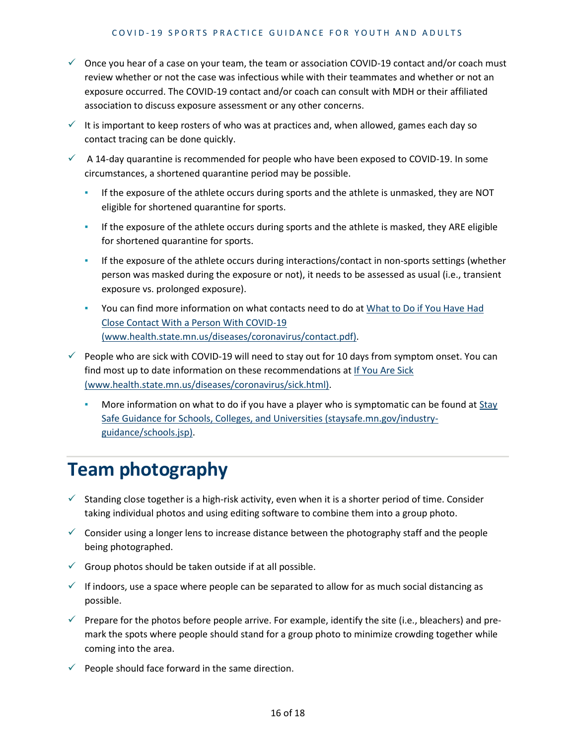- $\checkmark$  Once you hear of a case on your team, the team or association COVID-19 contact and/or coach must review whether or not the case was infectious while with their teammates and whether or not an exposure occurred. The COVID-19 contact and/or coach can consult with MDH or their affiliated association to discuss exposure assessment or any other concerns.
- $\checkmark$  It is important to keep rosters of who was at practices and, when allowed, games each day so contact tracing can be done quickly.
- $\checkmark$  A 14-day quarantine is recommended for people who have been exposed to COVID-19. In some circumstances, a shortened quarantine period may be possible.
	- If the exposure of the athlete occurs during sports and the athlete is unmasked, they are NOT eligible for shortened quarantine for sports.
	- **·** If the exposure of the athlete occurs during sports and the athlete is masked, they ARE eligible for shortened quarantine for sports.
	- **•** If the exposure of the athlete occurs during interactions/contact in non-sports settings (whether person was masked during the exposure or not), it needs to be assessed as usual (i.e., transient exposure vs. prolonged exposure).
	- **You can find more information on what contacts need to do at What to Do if You Have Had** [Close Contact With a Person With COVID-19](https://www.health.state.mn.us/diseases/coronavirus/contact.pdf)  [\(www.health.state.mn.us/diseases/coronavirus/contact.pdf\).](https://www.health.state.mn.us/diseases/coronavirus/contact.pdf)
- $\checkmark$  People who are sick with COVID-19 will need to stay out for 10 days from symptom onset. You can find most up to date information on these recommendations at [If You Are Sick](https://www.health.state.mn.us/diseases/coronavirus/sick.html)  [\(www.health.state.mn.us/diseases/coronavirus/sick.html\).](https://www.health.state.mn.us/diseases/coronavirus/sick.html)
	- More information on what to do if you have a player who is symptomatic can be found at Stay [Safe Guidance for Schools, Colleges, and Universities \(staysafe.mn.gov/industry](https://staysafe.mn.gov/industry-guidance/schools.jsp)[guidance/schools.jsp\).](https://staysafe.mn.gov/industry-guidance/schools.jsp)

# **Team photography**

- $\checkmark$  Standing close together is a high-risk activity, even when it is a shorter period of time. Consider taking individual photos and using editing software to combine them into a group photo.
- $\checkmark$  Consider using a longer lens to increase distance between the photography staff and the people being photographed.
- $\checkmark$  Group photos should be taken outside if at all possible.
- $\checkmark$  If indoors, use a space where people can be separated to allow for as much social distancing as possible.
- $\checkmark$  Prepare for the photos before people arrive. For example, identify the site (i.e., bleachers) and premark the spots where people should stand for a group photo to minimize crowding together while coming into the area.
- $\checkmark$  People should face forward in the same direction.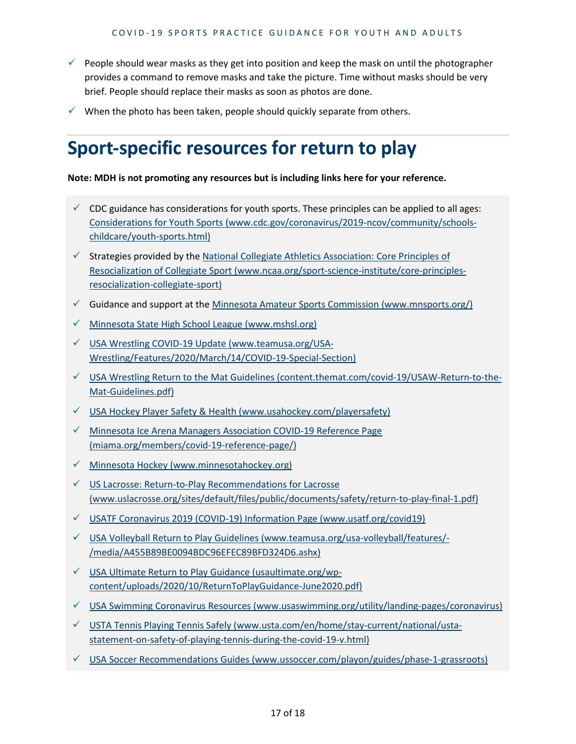- $\checkmark$  People should wear masks as they get into position and keep the mask on until the photographer provides a command to remove masks and take the picture. Time without masks should be very brief. People should replace their masks as soon as photos are done.
- $\checkmark$  When the photo has been taken, people should quickly separate from others.

# **Sport-specific resources for return to play**

#### **Note: MDH is not promoting any resources but is including links here for your reference.**

- $\checkmark$  CDC guidance has considerations for youth sports. These principles can be applied to all ages: [Considerations for Youth Sports \(www.cdc.gov/coronavirus/2019-ncov/community/schools](https://www.cdc.gov/coronavirus/2019-ncov/community/schools-childcare/youth-sports.html)[childcare/youth-sports.html\)](https://www.cdc.gov/coronavirus/2019-ncov/community/schools-childcare/youth-sports.html)
- $\checkmark$  Strategies provided by the National Collegiate Athletics Association: Core Principles of [Resocialization of Collegiate Sport \(www.ncaa.org/sport-science-institute/core-principles](https://www.ncaa.org/sport-science-institute/core-principles-resocialization-collegiate-sport)[resocialization-collegiate-sport\)](https://www.ncaa.org/sport-science-institute/core-principles-resocialization-collegiate-sport)
- Guidance and support at the [Minnesota Amateur Sports Commission \(www.mnsports.org/\)](https://www.mnsports.org/)
- $\checkmark$  [Minnesota State High School League \(www.mshsl.org\)](https://www.mshsl.org/)
- $\checkmark$  [USA Wrestling COVID-19 Update \(www.teamusa.org/USA-](https://www.teamusa.org/USA-Wrestling/Features/2020/March/14/COVID-19-Special-Section)[Wrestling/Features/2020/March/14/COVID-19-Special-Section\)](https://www.teamusa.org/USA-Wrestling/Features/2020/March/14/COVID-19-Special-Section)
- $\checkmark$  [USA Wrestling Return to the Mat Guidelines \(content.themat.com/covid-19/USAW-Return-to-the-](https://content.themat.com/covid-19/USAW-Return-to-the-Mat-Guidelines.pdf)[Mat-Guidelines.pdf\)](https://content.themat.com/covid-19/USAW-Return-to-the-Mat-Guidelines.pdf)
- $\checkmark$  [USA Hockey Player Safety & Health \(www.usahockey.com/playersafety\)](https://www.usahockey.com/playersafety)
- [Minnesota Ice Arena Managers Association COVID-19 Reference Page](https://miama.org/members/covid-19-reference-page/)  [\(miama.org/members/covid-19-reference-page/\)](https://miama.org/members/covid-19-reference-page/)
- $\checkmark$  Minnesota Hockey (www.minnesotahockey.org)
- [US Lacrosse: Return-to-Play Recommendations for Lacrosse](https://www.uslacrosse.org/sites/default/files/public/documents/safety/return-to-play-final-1.pdf)  [\(www.uslacrosse.org/sites/default/files/public/documents/safety/return-to-play-final-1.pdf\)](https://www.uslacrosse.org/sites/default/files/public/documents/safety/return-to-play-final-1.pdf)
- $\checkmark$  [USATF Coronavirus 2019 \(COVID-19\) Information Page \(www.usatf.org/covid19\)](https://www.usatf.org/covid19)
- $\checkmark$  [USA Volleyball Return to Play Guidelines \(www.teamusa.org/usa-volleyball/features/-](https://www.teamusa.org/usa-volleyball/features/-/media/A455B89BE0094BDC96EFEC89BFD324D6.ashx) [/media/A455B89BE0094BDC96EFEC89BFD324D6.ashx\)](https://www.teamusa.org/usa-volleyball/features/-/media/A455B89BE0094BDC96EFEC89BFD324D6.ashx)
- [USA Ultimate Return to Play Guidance \(usaultimate.org/wp](https://usaultimate.org/wp-content/uploads/2020/10/ReturnToPlayGuidance-June2020.pdf)[content/uploads/2020/10/ReturnToPlayGuidance-June2020.pdf\)](https://usaultimate.org/wp-content/uploads/2020/10/ReturnToPlayGuidance-June2020.pdf)
- $\checkmark$  [USA Swimming Coronavirus Resources \(www.usaswimming.org/utility/landing-pages/coronavirus\)](https://www.usaswimming.org/utility/landing-pages/coronavirus)
- [USTA Tennis Playing Tennis Safely \(www.usta.com/en/home/stay-current/national/usta](https://www.usta.com/en/home/stay-current/national/usta-statement-on-safety-of-playing-tennis-during-the-covid-19-v.html)[statement-on-safety-of-playing-tennis-during-the-covid-19-v.html\)](https://www.usta.com/en/home/stay-current/national/usta-statement-on-safety-of-playing-tennis-during-the-covid-19-v.html)
- $\checkmark$  [USA Soccer Recommendations Guides \(www.ussoccer.com/playon/guides/phase-1-grassroots\)](https://www.ussoccer.com/playon/guides/phase-1-grassroots)